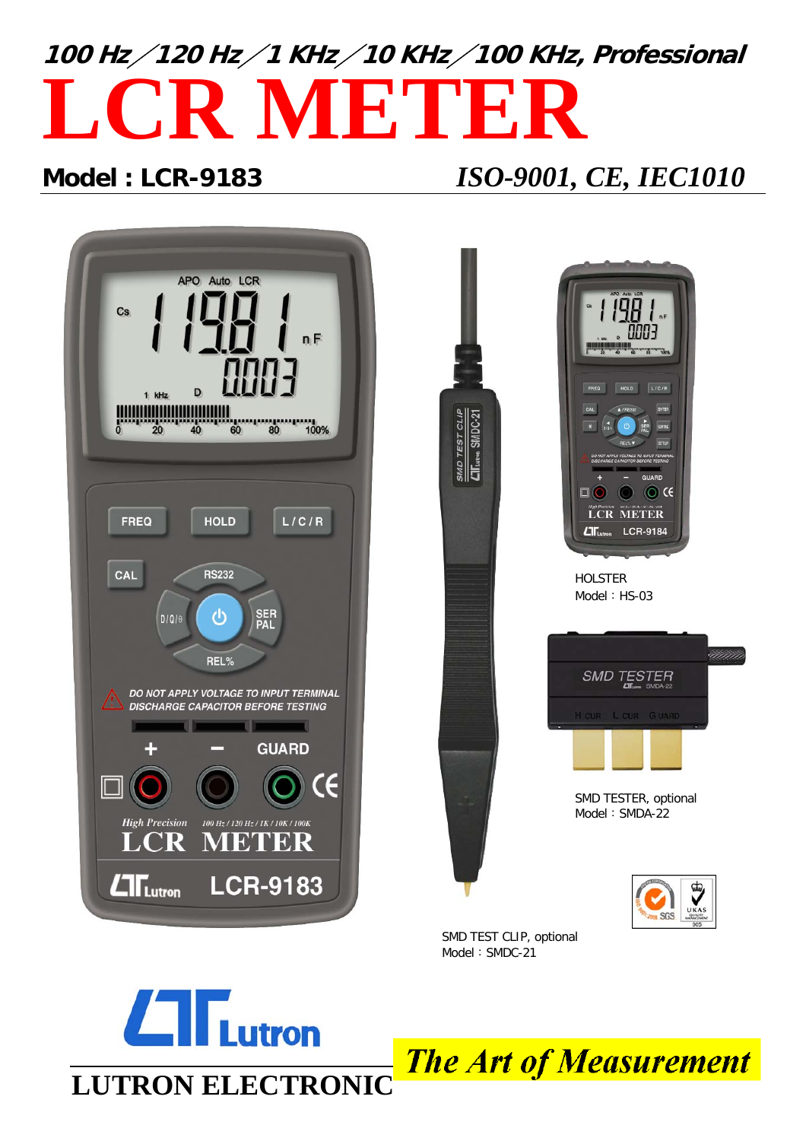# **100 Hz / 120 Hz / 1 KHz / 10 KHz / 100 KHz, Professional LCR METER**

### **Model : LCR-9183** *ISO-9001, CE, IEC1010*



Model: SMDC-21



**The Art of Measurement**